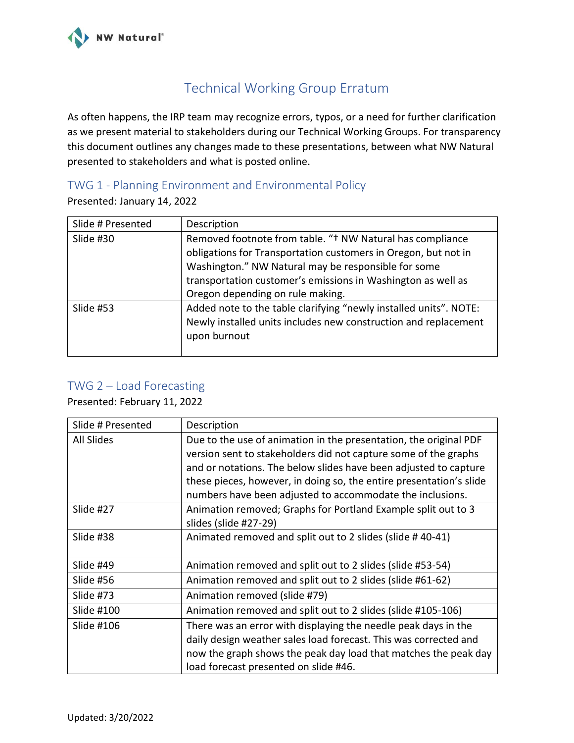

## Technical Working Group Erratum

As often happens, the IRP team may recognize errors, typos, or a need for further clarification as we present material to stakeholders during our Technical Working Groups. For transparency this document outlines any changes made to these presentations, between what NW Natural presented to stakeholders and what is posted online.

## TWG 1 - Planning Environment and Environmental Policy

Presented: January 14, 2022

| Slide # Presented | Description                                                                                                                                                                                                                                                                            |
|-------------------|----------------------------------------------------------------------------------------------------------------------------------------------------------------------------------------------------------------------------------------------------------------------------------------|
| Slide #30         | Removed footnote from table. "† NW Natural has compliance<br>obligations for Transportation customers in Oregon, but not in<br>Washington." NW Natural may be responsible for some<br>transportation customer's emissions in Washington as well as<br>Oregon depending on rule making. |
| Slide #53         | Added note to the table clarifying "newly installed units". NOTE:<br>Newly installed units includes new construction and replacement<br>upon burnout                                                                                                                                   |

## TWG 2 – Load Forecasting

Presented: February 11, 2022

| Slide # Presented | Description                                                                                                                                                                                                                                                                                                                                  |
|-------------------|----------------------------------------------------------------------------------------------------------------------------------------------------------------------------------------------------------------------------------------------------------------------------------------------------------------------------------------------|
| All Slides        | Due to the use of animation in the presentation, the original PDF<br>version sent to stakeholders did not capture some of the graphs<br>and or notations. The below slides have been adjusted to capture<br>these pieces, however, in doing so, the entire presentation's slide<br>numbers have been adjusted to accommodate the inclusions. |
| Slide #27         | Animation removed; Graphs for Portland Example split out to 3<br>slides (slide #27-29)                                                                                                                                                                                                                                                       |
| Slide #38         | Animated removed and split out to 2 slides (slide #40-41)                                                                                                                                                                                                                                                                                    |
| Slide #49         | Animation removed and split out to 2 slides (slide #53-54)                                                                                                                                                                                                                                                                                   |
| Slide #56         | Animation removed and split out to 2 slides (slide #61-62)                                                                                                                                                                                                                                                                                   |
| Slide #73         | Animation removed (slide #79)                                                                                                                                                                                                                                                                                                                |
| Slide #100        | Animation removed and split out to 2 slides (slide #105-106)                                                                                                                                                                                                                                                                                 |
| Slide #106        | There was an error with displaying the needle peak days in the<br>daily design weather sales load forecast. This was corrected and<br>now the graph shows the peak day load that matches the peak day<br>load forecast presented on slide #46.                                                                                               |